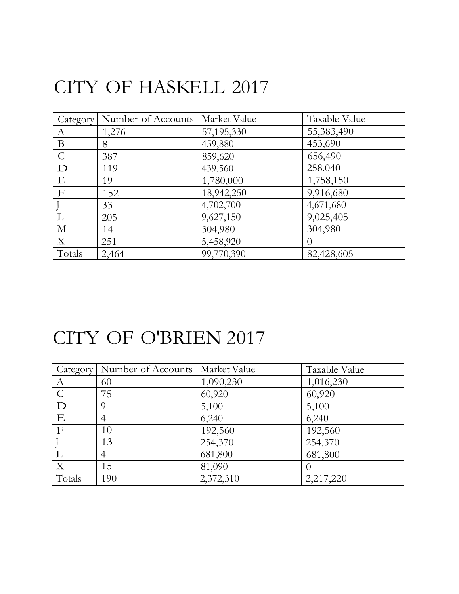### CITY OF HASKELL 2017

| Category                  | Number of Accounts | Market Value | Taxable Value |
|---------------------------|--------------------|--------------|---------------|
| A                         | 1,276              | 57,195,330   | 55,383,490    |
| B                         | 8                  | 459,880      | 453,690       |
| $\mathcal{C}$             | 387                | 859,620      | 656,490       |
| D                         | 119                | 439,560      | 258.040       |
| E                         | 19                 | 1,780,000    | 1,758,150     |
| $\boldsymbol{\mathrm{F}}$ | 152                | 18,942,250   | 9,916,680     |
|                           | 33                 | 4,702,700    | 4,671,680     |
| $\mathbf{L}$              | 205                | 9,627,150    | 9,025,405     |
| $\mathbf M$               | 14                 | 304,980      | 304,980       |
| X                         | 251                | 5,458,920    | $\left($      |
| Totals                    | 2,464              | 99,770,390   | 82,428,605    |

## CITY OF O'BRIEN 2017

|                           | Category   Number of Accounts | Market Value | Taxable Value |
|---------------------------|-------------------------------|--------------|---------------|
| $\boldsymbol{A}$          | 60                            | 1,090,230    | 1,016,230     |
| $\mathcal{C}$             | 75                            | 60,920       | 60,920        |
| D                         | O)                            | 5,100        | 5,100         |
| $\mathbf E$               | 4                             | 6,240        | 6,240         |
| $\mathbf F$               | 10                            | 192,560      | 192,560       |
|                           | 13                            | 254,370      | 254,370       |
|                           | $\overline{4}$                | 681,800      | 681,800       |
| $\boldsymbol{\mathrm{X}}$ | 15                            | 81,090       | $\theta$      |
| Totals                    | 190                           | 2,372,310    | 2,217,220     |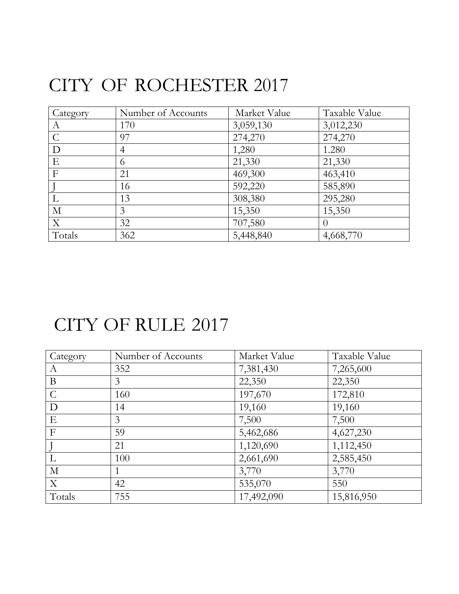## CITY OF ROCHESTER 2017

| Category                  | Number of Accounts | Market Value | Taxable Value |
|---------------------------|--------------------|--------------|---------------|
| A                         | 170                | 3,059,130    | 3,012,230     |
| $\mathcal{C}$             | 97                 | 274,270      | 274,270       |
| D                         | $\overline{4}$     | 1,280        | 1.280         |
| E                         | 6                  | 21,330       | 21,330        |
| $\mathbf{F}$              | 21                 | 469,300      | 463,410       |
|                           | 16                 | 592,220      | 585,890       |
|                           | 13                 | 308,380      | 295,280       |
| $\mathbf{M}$              | 3                  | 15,350       | 15,350        |
| $\boldsymbol{\mathrm{X}}$ | 32                 | 707,580      | $\theta$      |
| Totals                    | 362                | 5,448,840    | 4,668,770     |

#### CITY OF RULE 2017

| Category      | Number of Accounts | Market Value | Taxable Value |
|---------------|--------------------|--------------|---------------|
| А             | 352                | 7,381,430    | 7,265,600     |
| B             | 3                  | 22,350       | 22,350        |
| $\mathcal{C}$ | 160                | 197,670      | 172,810       |
| D             | 14                 | 19,160       | 19,160        |
| E             | 3                  | 7,500        | 7,500         |
| F             | 59                 | 5,462,686    | 4,627,230     |
|               | 21                 | 1,120,690    | 1,112,450     |
| L             | 100                | 2,661,690    | 2,585,450     |
| М             | 1                  | 3,770        | 3,770         |
| X             | 42                 | 535,070      | 550           |
| Totals        | 755                | 17,492,090   | 15,816,950    |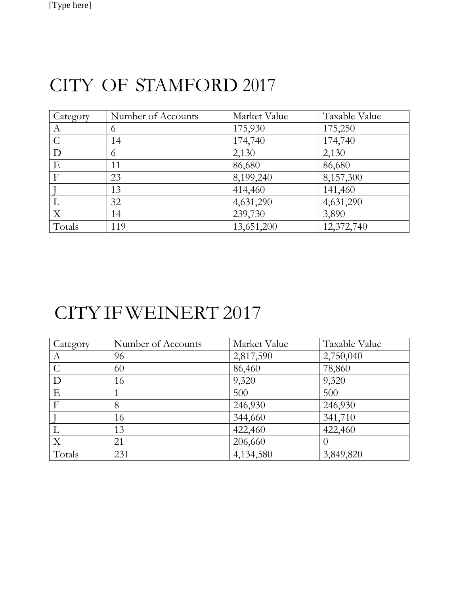| Category      | Number of Accounts | Market Value | Taxable Value |
|---------------|--------------------|--------------|---------------|
| А             | 6                  | 175,930      | 175,250       |
| $\mathcal{C}$ | 14                 | 174,740      | 174,740       |
| D             | $\sigma$           | 2,130        | 2,130         |
| E             | 11                 | 86,680       | 86,680        |
| F             | 23                 | 8,199,240    | 8,157,300     |
|               | 13                 | 414,460      | 141,460       |
| L             | 32                 | 4,631,290    | 4,631,290     |
| X             | 14                 | 239,730      | 3,890         |
| Totals        | 119                | 13,651,200   | 12,372,740    |

#### CITY OF STAMFORD 2017

#### CITYIFWEINERT 2017

| Category      | Number of Accounts | Market Value | Taxable Value |
|---------------|--------------------|--------------|---------------|
| А             | 96                 | 2,817,590    | 2,750,040     |
| $\mathcal{C}$ | 60                 | 86,460       | 78,860        |
| D             | 16                 | 9,320        | 9,320         |
| E             |                    | 500          | 500           |
| $\mathbf{F}$  | 8                  | 246,930      | 246,930       |
|               | 16                 | 344,660      | 341,710       |
|               | 13                 | 422,460      | 422,460       |
| X             | 21                 | 206,660      | $\theta$      |
| Totals        | 231                | 4,134,580    | 3,849,820     |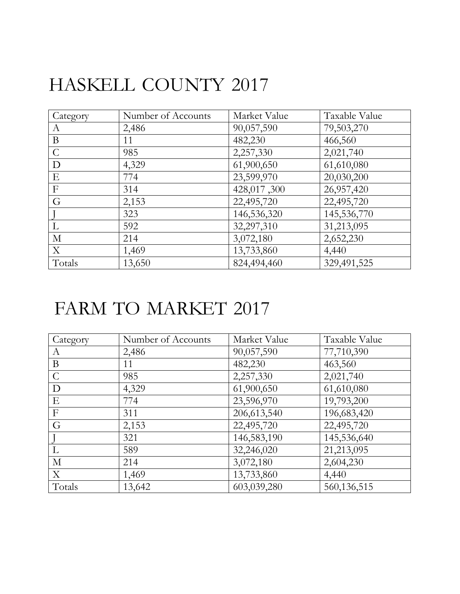# HASKELL COUNTY 2017

| Category         | Number of Accounts | Market Value | Taxable Value |
|------------------|--------------------|--------------|---------------|
| A                | 2,486              | 90,057,590   | 79,503,270    |
| B                | 11                 | 482,230      | 466,560       |
| $\mathcal{C}$    | 985                | 2,257,330    | 2,021,740     |
| D                | 4,329              | 61,900,650   | 61,610,080    |
| E                | 774                | 23,599,970   | 20,030,200    |
| $\boldsymbol{F}$ | 314                | 428,017,300  | 26,957,420    |
| G                | 2,153              | 22,495,720   | 22,495,720    |
|                  | 323                | 146,536,320  | 145,536,770   |
| L                | 592                | 32,297,310   | 31,213,095    |
| М                | 214                | 3,072,180    | 2,652,230     |
| $\overline{X}$   | 1,469              | 13,733,860   | 4,440         |
| Totals           | 13,650             | 824,494,460  | 329,491,525   |

#### FARM TO MARKET 2017

| Category      | Number of Accounts | Market Value  | Taxable Value |
|---------------|--------------------|---------------|---------------|
| А             | 2,486              | 90,057,590    | 77,710,390    |
| B             | 11                 | 482,230       | 463,560       |
| $\mathcal{C}$ | 985                | 2,257,330     | 2,021,740     |
| D             | 4,329              | 61,900,650    | 61,610,080    |
| E             | 774                | 23,596,970    | 19,793,200    |
| F             | 311                | 206, 613, 540 | 196,683,420   |
| G             | 2,153              | 22,495,720    | 22,495,720    |
|               | 321                | 146,583,190   | 145,536,640   |
| L             | 589                | 32,246,020    | 21,213,095    |
| М             | 214                | 3,072,180     | 2,604,230     |
| X             | 1,469              | 13,733,860    | 4,440         |
| Totals        | 13,642             | 603,039,280   | 560,136,515   |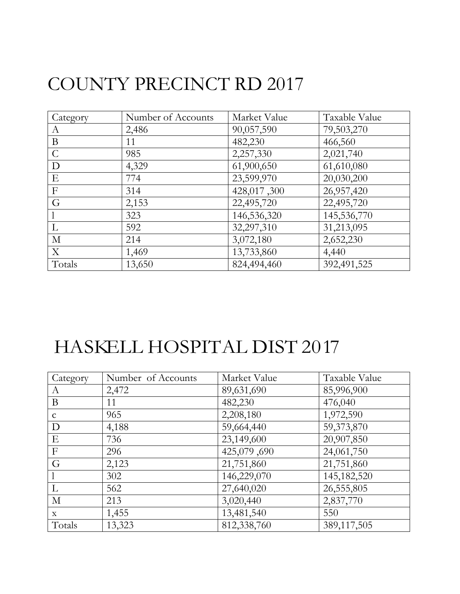# COUNTY PRECINCT RD 2017

| Category      | Number of Accounts | Market Value | Taxable Value |
|---------------|--------------------|--------------|---------------|
| A             | 2,486              | 90,057,590   | 79,503,270    |
| B             | 11                 | 482,230      | 466,560       |
| $\mathcal{C}$ | 985                | 2,257,330    | 2,021,740     |
| D             | 4,329              | 61,900,650   | 61,610,080    |
| E             | 774                | 23,599,970   | 20,030,200    |
| $\mathbf{F}$  | 314                | 428,017,300  | 26,957,420    |
| G             | 2,153              | 22,495,720   | 22,495,720    |
|               | 323                | 146,536,320  | 145,536,770   |
| L             | 592                | 32,297,310   | 31,213,095    |
| $\mathbf{M}$  | 214                | 3,072,180    | 2,652,230     |
| $\mathbf X$   | 1,469              | 13,733,860   | 4,440         |
| Totals        | 13,650             | 824,494,460  | 392,491,525   |

## HASKELL HOSPITAL DIST 2017

| Category       | Number of Accounts | Market Value | Taxable Value |
|----------------|--------------------|--------------|---------------|
| А              | 2,472              | 89,631,690   | 85,996,900    |
| B              | 11                 | 482,230      | 476,040       |
| $\mathsf{C}$   | 965                | 2,208,180    | 1,972,590     |
| D              | 4,188              | 59,664,440   | 59,373,870    |
| E              | 736                | 23,149,600   | 20,907,850    |
| $\overline{F}$ | 296                | 425,079,690  | 24,061,750    |
| G              | 2,123              | 21,751,860   | 21,751,860    |
|                | 302                | 146,229,070  | 145,182,520   |
| L              | 562                | 27,640,020   | 26,555,805    |
| $\mathbf{M}$   | 213                | 3,020,440    | 2,837,770     |
| $\mathbf X$    | 1,455              | 13,481,540   | 550           |
| Totals         | 13,323             | 812,338,760  | 389,117,505   |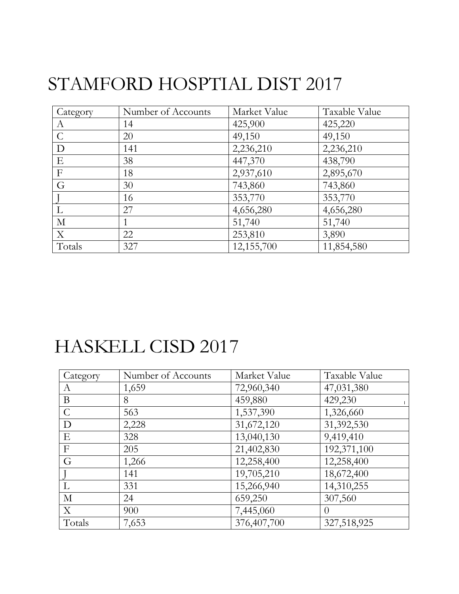# STAMFORD HOSPTIAL DIST 2017

| Category         | Number of Accounts | Market Value | Taxable Value |
|------------------|--------------------|--------------|---------------|
| $\boldsymbol{A}$ | 14                 | 425,900      | 425,220       |
| $\mathcal{C}$    | 20                 | 49,150       | 49,150        |
| D                | 141                | 2,236,210    | 2,236,210     |
| E                | 38                 | 447,370      | 438,790       |
| $\boldsymbol{F}$ | 18                 | 2,937,610    | 2,895,670     |
| G                | 30                 | 743,860      | 743,860       |
|                  | 16                 | 353,770      | 353,770       |
|                  | 27                 | 4,656,280    | 4,656,280     |
| $\mathbf M$      |                    | 51,740       | 51,740        |
| X                | 22                 | 253,810      | 3,890         |
| Totals           | 327                | 12,155,700   | 11,854,580    |

# HASKELL CISD 2017

| Category                  | Number of Accounts | Market Value | Taxable Value           |
|---------------------------|--------------------|--------------|-------------------------|
| A                         | 1,659              | 72,960,340   | 47,031,380              |
| B                         | 8                  | 459,880      | 429,230<br>$\mathbb{L}$ |
| $\mathcal{C}$             | 563                | 1,537,390    | 1,326,660               |
| D                         | 2,228              | 31,672,120   | 31,392,530              |
| E                         | 328                | 13,040,130   | 9,419,410               |
| $\boldsymbol{F}$          | 205                | 21,402,830   | 192,371,100             |
| G                         | 1,266              | 12,258,400   | 12,258,400              |
|                           | 141                | 19,705,210   | 18,672,400              |
| L                         | 331                | 15,266,940   | 14,310,255              |
| $\mathbf M$               | 24                 | 659,250      | 307,560                 |
| $\boldsymbol{\mathrm{X}}$ | 900                | 7,445,060    | $\theta$                |
| Totals                    | 7,653              | 376,407,700  | 327,518,925             |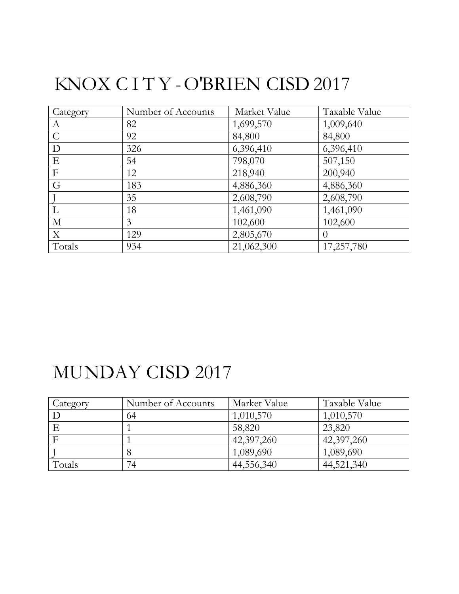# KNOX C I T Y -O'BRIEN CISD 2017

| Category      | Number of Accounts | Market Value | Taxable Value |
|---------------|--------------------|--------------|---------------|
| $\mathbf{A}$  | 82                 | 1,699,570    | 1,009,640     |
| $\mathcal{C}$ | 92                 | 84,800       | 84,800        |
| D             | 326                | 6,396,410    | 6,396,410     |
| E             | 54                 | 798,070      | 507,150       |
| $\mathbf F$   | 12                 | 218,940      | 200,940       |
| G             | 183                | 4,886,360    | 4,886,360     |
|               | 35                 | 2,608,790    | 2,608,790     |
| L             | 18                 | 1,461,090    | 1,461,090     |
| $\mathbf{M}$  | 3                  | 102,600      | 102,600       |
| X             | 129                | 2,805,670    | $\theta$      |
| Totals        | 934                | 21,062,300   | 17,257,780    |

## MUNDAY CISD 2017

| Category | Number of Accounts | Market Value | Taxable Value |
|----------|--------------------|--------------|---------------|
|          | 64                 | 1,010,570    | 1,010,570     |
|          |                    | 58,820       | 23,820        |
|          |                    | 42,397,260   | 42,397,260    |
|          | 8                  | 1,089,690    | 1,089,690     |
| Totals   | 74                 | 44,556,340   | 44,521,340    |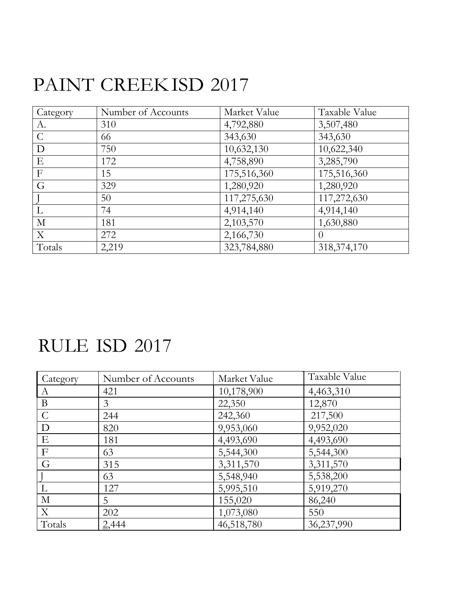# PAINT CREEKISD 2017

| Category      | Number of Accounts | Market Value | Taxable Value |
|---------------|--------------------|--------------|---------------|
| А.            | 310                | 4,792,880    | 3,507,480     |
| $\mathcal{C}$ | 66                 | 343,630      | 343,630       |
| D             | 750                | 10,632,130   | 10,622,340    |
| E             | 172                | 4,758,890    | 3,285,790     |
| F             | 15                 | 175,516,360  | 175,516,360   |
| G             | 329                | 1,280,920    | 1,280,920     |
|               | 50                 | 117,275,630  | 117,272,630   |
| L             | 74                 | 4,914,140    | 4,914,140     |
| М             | 181                | 2,103,570    | 1,630,880     |
| X             | 272                | 2,166,730    | $\theta$      |
| Totals        | 2,219              | 323,784,880  | 318, 374, 170 |

#### RULE ISD 2017

| Category                  | Number of Accounts | Market Value | Taxable Value |
|---------------------------|--------------------|--------------|---------------|
| $\boldsymbol{A}$          | 421                | 10,178,900   | 4,463,310     |
| B                         | 3                  | 22,350       | 12,870        |
| $\mathcal{C}$             | 244                | 242,360      | 217,500       |
| D                         | 820                | 9,953,060    | 9,952,020     |
| E                         | 181                | 4,493,690    | 4,493,690     |
| $\boldsymbol{\mathrm{F}}$ | 63                 | 5,544,300    | 5,544,300     |
| G                         | 315                | 3,311,570    | 3,311,570     |
|                           | 63                 | 5,548,940    | 5,538,200     |
| L                         | 127                | 5,995,510    | 5,919,270     |
| $\mathbf{M}$              | 5                  | 155,020      | 86,240        |
| $\mathbf{X}$              | 202                | 1,073,080    | 550           |
| Totals                    | 2,444              | 46,518,780   | 36,237,990    |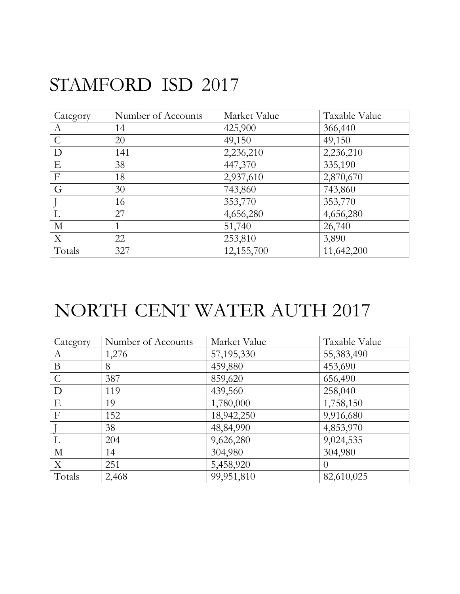### STAMFORD ISD 2017

| Category      | Number of Accounts | Market Value | Taxable Value |
|---------------|--------------------|--------------|---------------|
| A             | 14                 | 425,900      | 366,440       |
| $\mathcal{C}$ | 20                 | 49,150       | 49,150        |
| D             | 141                | 2,236,210    | 2,236,210     |
| E             | 38                 | 447,370      | 335,190       |
| $\mathbf F$   | 18                 | 2,937,610    | 2,870,670     |
| G             | 30                 | 743,860      | 743,860       |
|               | 16                 | 353,770      | 353,770       |
| L             | 27                 | 4,656,280    | 4,656,280     |
| $\mathbf{M}$  |                    | 51,740       | 26,740        |
| X             | 22                 | 253,810      | 3,890         |
| Totals        | 327                | 12,155,700   | 11,642,200    |

# NORTH CENT WATER AUTH 2017

| Category       | Number of Accounts | Market Value | Taxable Value |
|----------------|--------------------|--------------|---------------|
| A              | 1,276              | 57,195,330   | 55,383,490    |
| B              | 8                  | 459,880      | 453,690       |
| $\mathcal{C}$  | 387                | 859,620      | 656,490       |
| D              | 119                | 439,560      | 258,040       |
| Ε              | 19                 | 1,780,000    | 1,758,150     |
| $\overline{F}$ | 152                | 18,942,250   | 9,916,680     |
|                | 38                 | 48,84,990    | 4,853,970     |
| L              | 204                | 9,626,280    | 9,024,535     |
| М              | 14                 | 304,980      | 304,980       |
| X              | 251                | 5,458,920    | $\Omega$      |
| Totals         | 2,468              | 99,951,810   | 82,610,025    |